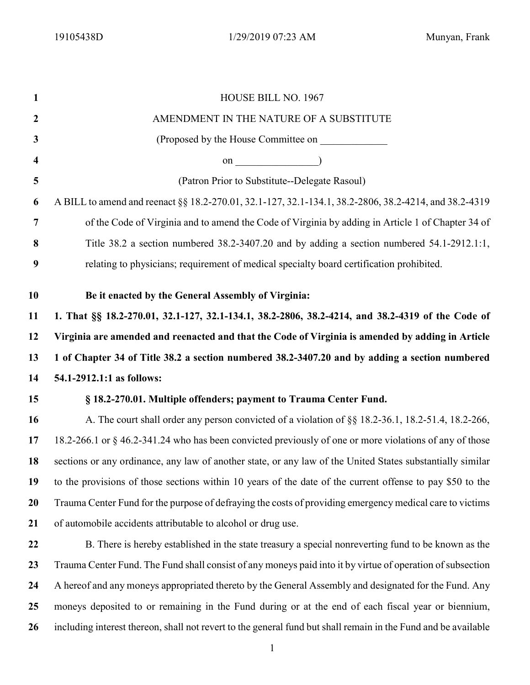| $\mathbf{1}$            | HOUSE BILL NO. 1967                                                                                                                                                                                                                                                                             |
|-------------------------|-------------------------------------------------------------------------------------------------------------------------------------------------------------------------------------------------------------------------------------------------------------------------------------------------|
| $\boldsymbol{2}$        | AMENDMENT IN THE NATURE OF A SUBSTITUTE                                                                                                                                                                                                                                                         |
| 3                       | (Proposed by the House Committee on                                                                                                                                                                                                                                                             |
| $\overline{\mathbf{4}}$ | on $\qquad$ (1) $\qquad$ (1) $\qquad$ (1) $\qquad$ (1) $\qquad$ (1) $\qquad$ (1) $\qquad$ (1) $\qquad$ (1) $\qquad$ (1) $\qquad$ (1) $\qquad$ (1) $\qquad$ (1) $\qquad$ (1) $\qquad$ (1) $\qquad$ (1) $\qquad$ (1) $\qquad$ (1) $\qquad$ (1) $\qquad$ (1) $\qquad$ (1) $\qquad$ (1) $\qquad$ (1 |
| 5                       | (Patron Prior to Substitute--Delegate Rasoul)                                                                                                                                                                                                                                                   |
| 6                       | A BILL to amend and reenact §§ 18.2-270.01, 32.1-127, 32.1-134.1, 38.2-2806, 38.2-4214, and 38.2-4319                                                                                                                                                                                           |
| 7                       | of the Code of Virginia and to amend the Code of Virginia by adding in Article 1 of Chapter 34 of                                                                                                                                                                                               |
| 8                       | Title 38.2 a section numbered 38.2-3407.20 and by adding a section numbered 54.1-2912.1:1,                                                                                                                                                                                                      |
| 9                       | relating to physicians; requirement of medical specialty board certification prohibited.                                                                                                                                                                                                        |
|                         |                                                                                                                                                                                                                                                                                                 |
| 10                      | Be it enacted by the General Assembly of Virginia:                                                                                                                                                                                                                                              |
| 11                      | 1. That §§ 18.2-270.01, 32.1-127, 32.1-134.1, 38.2-2806, 38.2-4214, and 38.2-4319 of the Code of                                                                                                                                                                                                |
| 12                      | Virginia are amended and reenacted and that the Code of Virginia is amended by adding in Article                                                                                                                                                                                                |
| 13                      | 1 of Chapter 34 of Title 38.2 a section numbered 38.2-3407.20 and by adding a section numbered                                                                                                                                                                                                  |
| 14                      | 54.1-2912.1:1 as follows:                                                                                                                                                                                                                                                                       |
| 15                      | § 18.2-270.01. Multiple offenders; payment to Trauma Center Fund.                                                                                                                                                                                                                               |
| 16                      | A. The court shall order any person convicted of a violation of §§ 18.2-36.1, 18.2-51.4, 18.2-266,                                                                                                                                                                                              |
| 17                      | 18.2-266.1 or § 46.2-341.24 who has been convicted previously of one or more violations of any of those                                                                                                                                                                                         |
| 18                      | sections or any ordinance, any law of another state, or any law of the United States substantially similar                                                                                                                                                                                      |
| 19                      | to the provisions of those sections within 10 years of the date of the current offense to pay \$50 to the                                                                                                                                                                                       |
| 20                      | Trauma Center Fund for the purpose of defraying the costs of providing emergency medical care to victims                                                                                                                                                                                        |
| 21                      | of automobile accidents attributable to alcohol or drug use.                                                                                                                                                                                                                                    |
| 22                      | B. There is hereby established in the state treasury a special nonreverting fund to be known as the                                                                                                                                                                                             |
| 23                      | Trauma Center Fund. The Fund shall consist of any moneys paid into it by virtue of operation of subsection                                                                                                                                                                                      |
| 24                      | A hereof and any moneys appropriated thereto by the General Assembly and designated for the Fund. Any                                                                                                                                                                                           |
| 25                      | moneys deposited to or remaining in the Fund during or at the end of each fiscal year or biennium,                                                                                                                                                                                              |
| 26                      | including interest thereon, shall not revert to the general fund but shall remain in the Fund and be available                                                                                                                                                                                  |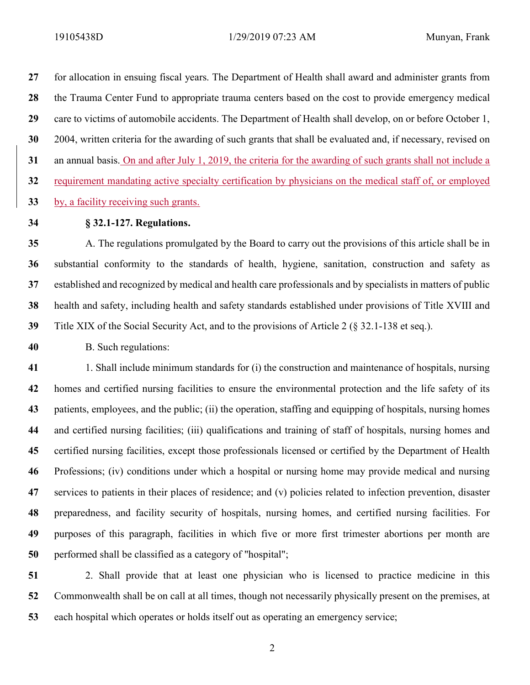19105438D 1/29/2019 07:23 AM Munyan, Frank

27 for allocation in ensuing fiscal years. The Department of Health shall award and administer grants from the Trauma Center Fund to appropriate trauma centers based on the cost to provide emergency medical 29 care to victims of automobile accidents. The Department of Health shall develop, on or before October 1, 2004, written criteria for the awarding of such grants that shall be evaluated and, if necessary, revised on 31 an annual basis. On and after July 1, 2019, the criteria for the awarding of such grants shall not include a requirement mandating active specialty certification by physicians on the medical staff of, or employed by, a facility receiving such grants.

## 34 § 32.1-127. Regulations.

A. The regulations promulgated by the Board to carry out the provisions of this article shall be in substantial conformity to the standards of health, hygiene, sanitation, construction and safety as established and recognized by medical and health care professionals and by specialists in matters of public health and safety, including health and safety standards established under provisions of Title XVIII and Title XIX of the Social Security Act, and to the provisions of Article 2 (§ 32.1-138 et seq.).

B. Such regulations:

1. Shall include minimum standards for (i) the construction and maintenance of hospitals, nursing homes and certified nursing facilities to ensure the environmental protection and the life safety of its 43 patients, employees, and the public; (ii) the operation, staffing and equipping of hospitals, nursing homes and certified nursing facilities; (iii) qualifications and training of staff of hospitals, nursing homes and certified nursing facilities, except those professionals licensed or certified by the Department of Health Professions; (iv) conditions under which a hospital or nursing home may provide medical and nursing services to patients in their places of residence; and (v) policies related to infection prevention, disaster preparedness, and facility security of hospitals, nursing homes, and certified nursing facilities. For purposes of this paragraph, facilities in which five or more first trimester abortions per month are performed shall be classified as a category of "hospital";

2. Shall provide that at least one physician who is licensed to practice medicine in this Commonwealth shall be on call at all times, though not necessarily physically present on the premises, at each hospital which operates or holds itself out as operating an emergency service;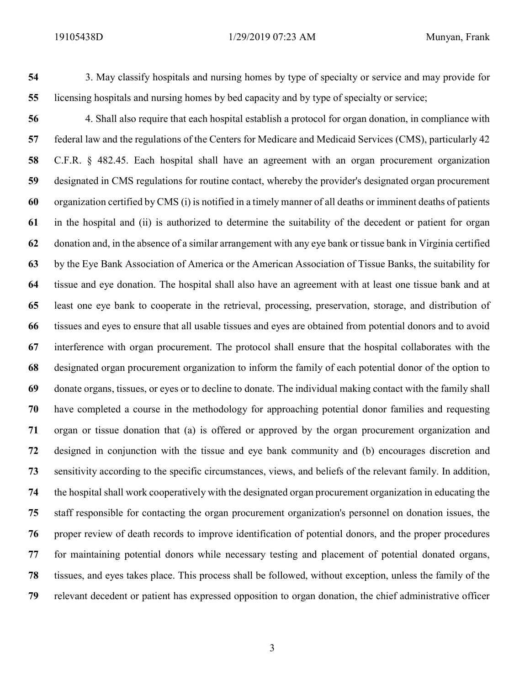3. May classify hospitals and nursing homes by type of specialty or service and may provide for licensing hospitals and nursing homes by bed capacity and by type of specialty or service;

4. Shall also require that each hospital establish a protocol for organ donation, in compliance with federal law and the regulations of the Centers for Medicare and Medicaid Services (CMS), particularly 42 C.F.R. § 482.45. Each hospital shall have an agreement with an organ procurement organization designated in CMS regulations for routine contact, whereby the provider's designated organ procurement organization certified by CMS (i) is notified in a timely manner of all deaths or imminent deaths of patients in the hospital and (ii) is authorized to determine the suitability of the decedent or patient for organ donation and, in the absence of a similar arrangement with any eye bank or tissue bank in Virginia certified by the Eye Bank Association of America or the American Association of Tissue Banks, the suitability for tissue and eye donation. The hospital shall also have an agreement with at least one tissue bank and at least one eye bank to cooperate in the retrieval, processing, preservation, storage, and distribution of tissues and eyes to ensure that all usable tissues and eyes are obtained from potential donors and to avoid interference with organ procurement. The protocol shall ensure that the hospital collaborates with the designated organ procurement organization to inform the family of each potential donor of the option to donate organs, tissues, or eyes or to decline to donate. The individual making contact with the family shall have completed a course in the methodology for approaching potential donor families and requesting organ or tissue donation that (a) is offered or approved by the organ procurement organization and designed in conjunction with the tissue and eye bank community and (b) encourages discretion and sensitivity according to the specific circumstances, views, and beliefs of the relevant family. In addition, the hospital shall work cooperatively with the designated organ procurement organization in educating the staff responsible for contacting the organ procurement organization's personnel on donation issues, the proper review of death records to improve identification of potential donors, and the proper procedures for maintaining potential donors while necessary testing and placement of potential donated organs, tissues, and eyes takes place. This process shall be followed, without exception, unless the family of the relevant decedent or patient has expressed opposition to organ donation, the chief administrative officer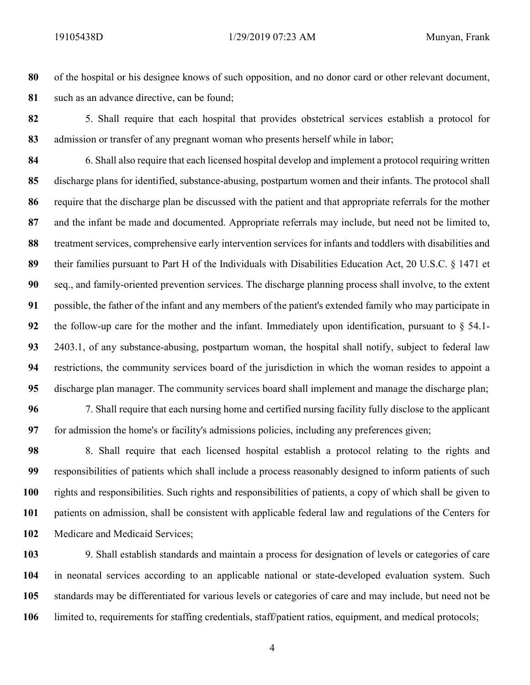of the hospital or his designee knows of such opposition, and no donor card or other relevant document, 81 such as an advance directive, can be found;

5. Shall require that each hospital that provides obstetrical services establish a protocol for 83 admission or transfer of any pregnant woman who presents herself while in labor;

6. Shall also require that each licensed hospital develop and implement a protocol requiring written discharge plans for identified, substance-abusing, postpartum women and their infants. The protocol shall require that the discharge plan be discussed with the patient and that appropriate referrals for the mother and the infant be made and documented. Appropriate referrals may include, but need not be limited to, 88 treatment services, comprehensive early intervention services for infants and toddlers with disabilities and 89 their families pursuant to Part H of the Individuals with Disabilities Education Act, 20 U.S.C. § 1471 et seq., and family-oriented prevention services. The discharge planning process shall involve, to the extent possible, the father of the infant and any members of the patient's extended family who may participate in 92 the follow-up care for the mother and the infant. Immediately upon identification, pursuant to  $\S$  54.1-2403.1, of any substance-abusing, postpartum woman, the hospital shall notify, subject to federal law restrictions, the community services board of the jurisdiction in which the woman resides to appoint a discharge plan manager. The community services board shall implement and manage the discharge plan; 7. Shall require that each nursing home and certified nursing facility fully disclose to the applicant

for admission the home's or facility's admissions policies, including any preferences given;

8. Shall require that each licensed hospital establish a protocol relating to the rights and responsibilities of patients which shall include a process reasonably designed to inform patients of such rights and responsibilities. Such rights and responsibilities of patients, a copy of which shall be given to patients on admission, shall be consistent with applicable federal law and regulations of the Centers for 102 Medicare and Medicaid Services;

9. Shall establish standards and maintain a process for designation of levels or categories of care in neonatal services according to an applicable national or state-developed evaluation system. Such standards may be differentiated for various levels or categories of care and may include, but need not be limited to, requirements for staffing credentials, staff/patient ratios, equipment, and medical protocols;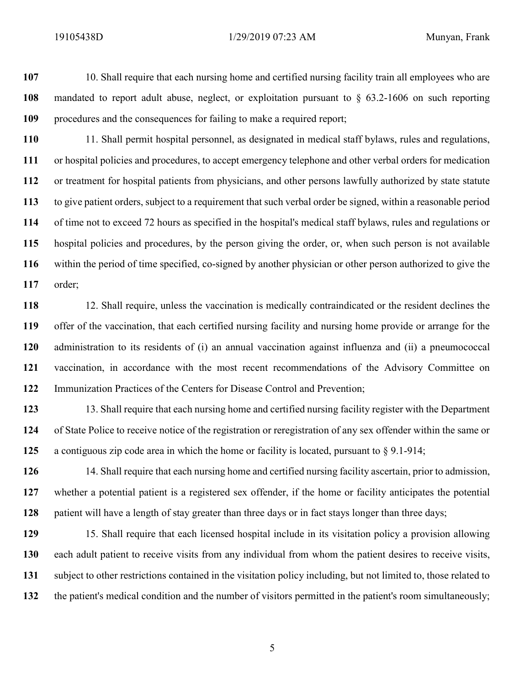10. Shall require that each nursing home and certified nursing facility train all employees who are mandated to report adult abuse, neglect, or exploitation pursuant to § 63.2-1606 on such reporting procedures and the consequences for failing to make a required report;

11. Shall permit hospital personnel, as designated in medical staff bylaws, rules and regulations, or hospital policies and procedures, to accept emergency telephone and other verbal orders for medication or treatment for hospital patients from physicians, and other persons lawfully authorized by state statute to give patient orders, subject to a requirement that such verbal order be signed, within a reasonable period of time not to exceed 72 hours as specified in the hospital's medical staff bylaws, rules and regulations or hospital policies and procedures, by the person giving the order, or, when such person is not available within the period of time specified, co-signed by another physician or other person authorized to give the order;

118 12. Shall require, unless the vaccination is medically contraindicated or the resident declines the offer of the vaccination, that each certified nursing facility and nursing home provide or arrange for the administration to its residents of (i) an annual vaccination against influenza and (ii) a pneumococcal vaccination, in accordance with the most recent recommendations of the Advisory Committee on Immunization Practices of the Centers for Disease Control and Prevention;

123 13. Shall require that each nursing home and certified nursing facility register with the Department of State Police to receive notice of the registration or reregistration of any sex offender within the same or a contiguous zip code area in which the home or facility is located, pursuant to § 9.1-914;

126 14. Shall require that each nursing home and certified nursing facility ascertain, prior to admission, whether a potential patient is a registered sex offender, if the home or facility anticipates the potential 128 patient will have a length of stay greater than three days or in fact stays longer than three days;

15. Shall require that each licensed hospital include in its visitation policy a provision allowing each adult patient to receive visits from any individual from whom the patient desires to receive visits, subject to other restrictions contained in the visitation policy including, but not limited to, those related to the patient's medical condition and the number of visitors permitted in the patient's room simultaneously;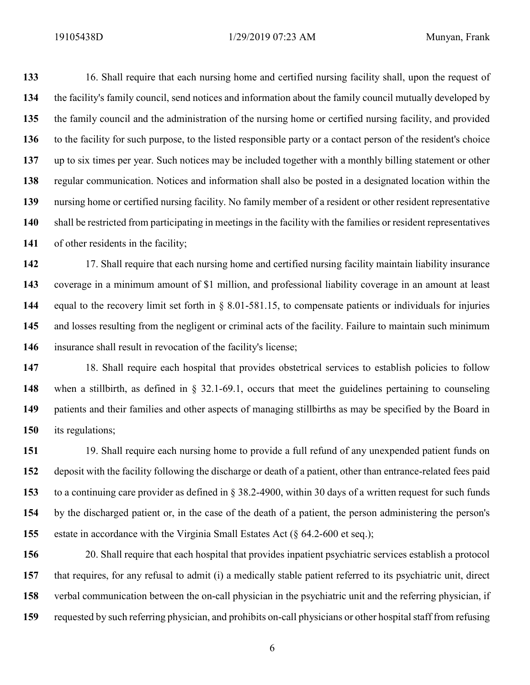19105438D 1/29/2019 07:23 AM Munyan, Frank

16. Shall require that each nursing home and certified nursing facility shall, upon the request of the facility's family council, send notices and information about the family council mutually developed by the family council and the administration of the nursing home or certified nursing facility, and provided to the facility for such purpose, to the listed responsible party or a contact person of the resident's choice up to six times per year. Such notices may be included together with a monthly billing statement or other regular communication. Notices and information shall also be posted in a designated location within the nursing home or certified nursing facility. No family member of a resident or other resident representative shall be restricted from participating in meetings in the facility with the families or resident representatives 141 of other residents in the facility;

142 17. Shall require that each nursing home and certified nursing facility maintain liability insurance coverage in a minimum amount of \$1 million, and professional liability coverage in an amount at least equal to the recovery limit set forth in § 8.01-581.15, to compensate patients or individuals for injuries 145 and losses resulting from the negligent or criminal acts of the facility. Failure to maintain such minimum 146 insurance shall result in revocation of the facility's license;

18. Shall require each hospital that provides obstetrical services to establish policies to follow when a stillbirth, as defined in § 32.1-69.1, occurs that meet the guidelines pertaining to counseling patients and their families and other aspects of managing stillbirths as may be specified by the Board in its regulations;

151 19. Shall require each nursing home to provide a full refund of any unexpended patient funds on deposit with the facility following the discharge or death of a patient, other than entrance-related fees paid to a continuing care provider as defined in § 38.2-4900, within 30 days of a written request for such funds by the discharged patient or, in the case of the death of a patient, the person administering the person's estate in accordance with the Virginia Small Estates Act (§ 64.2-600 et seq.);

20. Shall require that each hospital that provides inpatient psychiatric services establish a protocol that requires, for any refusal to admit (i) a medically stable patient referred to its psychiatric unit, direct verbal communication between the on-call physician in the psychiatric unit and the referring physician, if requested by such referring physician, and prohibits on-call physicians or other hospital staff from refusing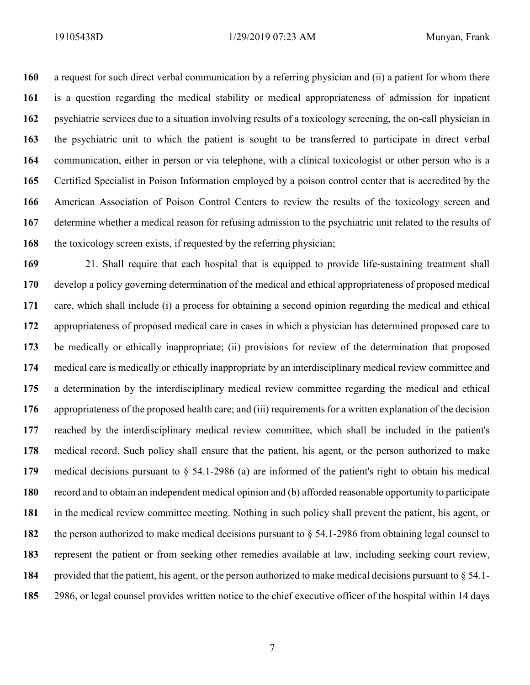a request for such direct verbal communication by a referring physician and (ii) a patient for whom there is a question regarding the medical stability or medical appropriateness of admission for inpatient psychiatric services due to a situation involving results of a toxicology screening, the on-call physician in the psychiatric unit to which the patient is sought to be transferred to participate in direct verbal communication, either in person or via telephone, with a clinical toxicologist or other person who is a Certified Specialist in Poison Information employed by a poison control center that is accredited by the American Association of Poison Control Centers to review the results of the toxicology screen and 167 determine whether a medical reason for refusing admission to the psychiatric unit related to the results of 168 the toxicology screen exists, if requested by the referring physician;

21. Shall require that each hospital that is equipped to provide life-sustaining treatment shall develop a policy governing determination of the medical and ethical appropriateness of proposed medical care, which shall include (i) a process for obtaining a second opinion regarding the medical and ethical appropriateness of proposed medical care in cases in which a physician has determined proposed care to be medically or ethically inappropriate; (ii) provisions for review of the determination that proposed medical care is medically or ethically inappropriate by an interdisciplinary medical review committee and a determination by the interdisciplinary medical review committee regarding the medical and ethical appropriateness of the proposed health care; and (iii) requirements for a written explanation of the decision reached by the interdisciplinary medical review committee, which shall be included in the patient's medical record. Such policy shall ensure that the patient, his agent, or the person authorized to make medical decisions pursuant to § 54.1-2986 (a) are informed of the patient's right to obtain his medical record and to obtain an independent medical opinion and (b) afforded reasonable opportunity to participate in the medical review committee meeting. Nothing in such policy shall prevent the patient, his agent, or the person authorized to make medical decisions pursuant to § 54.1-2986 from obtaining legal counsel to represent the patient or from seeking other remedies available at law, including seeking court review, provided that the patient, his agent, or the person authorized to make medical decisions pursuant to § 54.1- 2986, or legal counsel provides written notice to the chief executive officer of the hospital within 14 days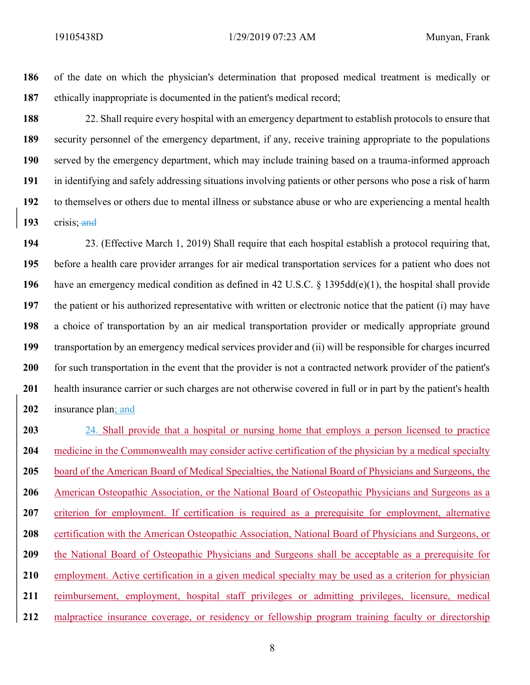186 of the date on which the physician's determination that proposed medical treatment is medically or 187 ethically inappropriate is documented in the patient's medical record;

22. Shall require every hospital with an emergency department to establish protocols to ensure that security personnel of the emergency department, if any, receive training appropriate to the populations served by the emergency department, which may include training based on a trauma-informed approach in identifying and safely addressing situations involving patients or other persons who pose a risk of harm to themselves or others due to mental illness or substance abuse or who are experiencing a mental health 193 crisis; and

23. (Effective March 1, 2019) Shall require that each hospital establish a protocol requiring that, before a health care provider arranges for air medical transportation services for a patient who does not have an emergency medical condition as defined in 42 U.S.C. § 1395dd(e)(1), the hospital shall provide the patient or his authorized representative with written or electronic notice that the patient (i) may have a choice of transportation by an air medical transportation provider or medically appropriate ground transportation by an emergency medical services provider and (ii) will be responsible for charges incurred 200 for such transportation in the event that the provider is not a contracted network provider of the patient's 201 health insurance carrier or such charges are not otherwise covered in full or in part by the patient's health 202 insurance plan; and

203 24. Shall provide that a hospital or nursing home that employs a person licensed to practice 204 medicine in the Commonwealth may consider active certification of the physician by a medical specialty 205 board of the American Board of Medical Specialties, the National Board of Physicians and Surgeons, the 206 American Osteopathic Association, or the National Board of Osteopathic Physicians and Surgeons as a 207 criterion for employment. If certification is required as a prerequisite for employment, alternative 208 certification with the American Osteopathic Association, National Board of Physicians and Surgeons, or 209 the National Board of Osteopathic Physicians and Surgeons shall be acceptable as a prerequisite for 210 employment. Active certification in a given medical specialty may be used as a criterion for physician 211 reimbursement, employment, hospital staff privileges or admitting privileges, licensure, medical 212 malpractice insurance coverage, or residency or fellowship program training faculty or directorship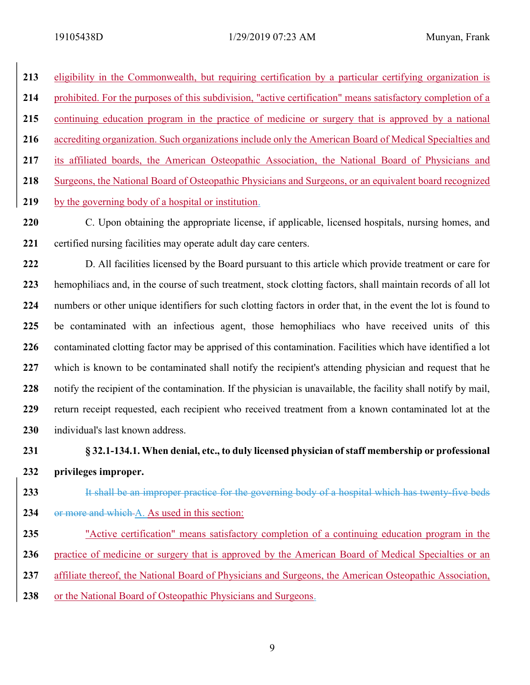213 eligibility in the Commonwealth, but requiring certification by a particular certifying organization is 214 prohibited. For the purposes of this subdivision, "active certification" means satisfactory completion of a 215 continuing education program in the practice of medicine or surgery that is approved by a national 216 accrediting organization. Such organizations include only the American Board of Medical Specialties and 217 its affiliated boards, the American Osteopathic Association, the National Board of Physicians and 218 Surgeons, the National Board of Osteopathic Physicians and Surgeons, or an equivalent board recognized 219 by the governing body of a hospital or institution.

220 C. Upon obtaining the appropriate license, if applicable, licensed hospitals, nursing homes, and 221 certified nursing facilities may operate adult day care centers.

222 D. All facilities licensed by the Board pursuant to this article which provide treatment or care for 223 hemophiliacs and, in the course of such treatment, stock clotting factors, shall maintain records of all lot 224 numbers or other unique identifiers for such clotting factors in order that, in the event the lot is found to 225 be contaminated with an infectious agent, those hemophiliacs who have received units of this 226 contaminated clotting factor may be apprised of this contamination. Facilities which have identified a lot 227 which is known to be contaminated shall notify the recipient's attending physician and request that he 228 notify the recipient of the contamination. If the physician is unavailable, the facility shall notify by mail, 229 return receipt requested, each recipient who received treatment from a known contaminated lot at the 230 individual's last known address.

231 § 32.1-134.1. When denial, etc., to duly licensed physician of staff membership or professional 232 privileges improper.

233 It shall be an improper practice for the governing body of a hospital which has twenty-five beds

- 234 or more and which A. As used in this section:
- 235 "Active certification" means satisfactory completion of a continuing education program in the
- 236 practice of medicine or surgery that is approved by the American Board of Medical Specialties or an
- 237 affiliate thereof, the National Board of Physicians and Surgeons, the American Osteopathic Association,
- 238 or the National Board of Osteopathic Physicians and Surgeons.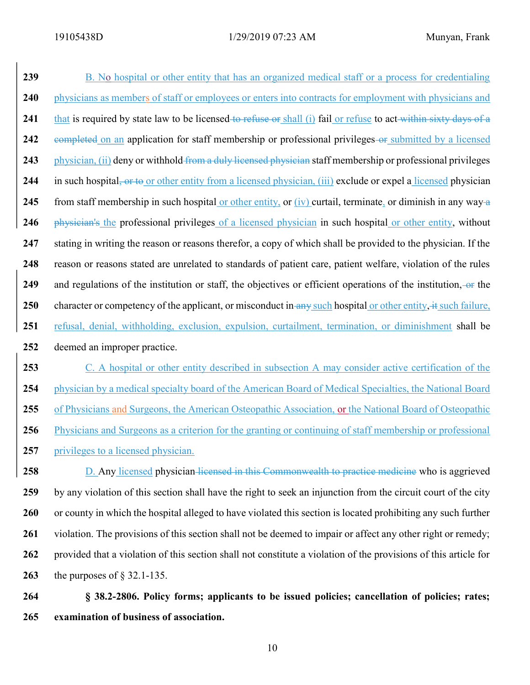239 B. No hospital or other entity that has an organized medical staff or a process for credentialing 240 physicians as members of staff or employees or enters into contracts for employment with physicians and 241 that is required by state law to be licensed to refuse or shall (i) fail or refuse to act within sixty days of a 242 eompleted on an application for staff membership or professional privileges-or submitted by a licensed 243 physician, (ii) deny or withhold from a duly licensed physician staff membership or professional privileges 244 in such hospital, or to or other entity from a licensed physician, (iii) exclude or expel a licensed physician 245 from staff membership in such hospital or other entity, or  $(iv)$  curtail, terminate, or diminish in any way-a 246 physician's the professional privileges of a licensed physician in such hospital or other entity, without 247 stating in writing the reason or reasons therefor, a copy of which shall be provided to the physician. If the 248 reason or reasons stated are unrelated to standards of patient care, patient welfare, violation of the rules 249 and regulations of the institution or staff, the objectives or efficient operations of the institution,  $-\theta$  the 250 character or competency of the applicant, or misconduct in any such hospital or other entity, it such failure, 251 refusal, denial, withholding, exclusion, expulsion, curtailment, termination, or diminishment shall be 252 deemed an improper practice. 253 C. A hospital or other entity described in subsection A may consider active certification of the 254 physician by a medical specialty board of the American Board of Medical Specialties, the National Board

255 of Physicians and Surgeons, the American Osteopathic Association, or the National Board of Osteopathic 256 Physicians and Surgeons as a criterion for the granting or continuing of staff membership or professional

257 privileges to a licensed physician.

258 D. Any licensed physician licensed in this Commonwealth to practice medicine who is aggrieved 259 by any violation of this section shall have the right to seek an injunction from the circuit court of the city 260 or county in which the hospital alleged to have violated this section is located prohibiting any such further 261 violation. The provisions of this section shall not be deemed to impair or affect any other right or remedy; 262 provided that a violation of this section shall not constitute a violation of the provisions of this article for 263 the purposes of § 32.1-135.

264 § 38.2-2806. Policy forms; applicants to be issued policies; cancellation of policies; rates; 265 examination of business of association.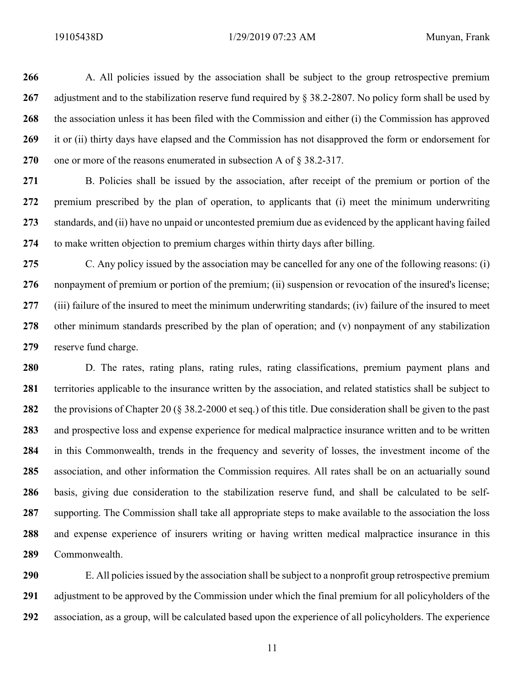266 A. All policies issued by the association shall be subject to the group retrospective premium 267 adjustment and to the stabilization reserve fund required by § 38.2-2807. No policy form shall be used by 268 the association unless it has been filed with the Commission and either (i) the Commission has approved 269 it or (ii) thirty days have elapsed and the Commission has not disapproved the form or endorsement for 270 one or more of the reasons enumerated in subsection A of  $\S 38.2-317$ .

271 B. Policies shall be issued by the association, after receipt of the premium or portion of the 272 premium prescribed by the plan of operation, to applicants that (i) meet the minimum underwriting 273 standards, and (ii) have no unpaid or uncontested premium due as evidenced by the applicant having failed 274 to make written objection to premium charges within thirty days after billing.

275 C. Any policy issued by the association may be cancelled for any one of the following reasons: (i) 276 nonpayment of premium or portion of the premium; (ii) suspension or revocation of the insured's license; 277 (iii) failure of the insured to meet the minimum underwriting standards; (iv) failure of the insured to meet 278 other minimum standards prescribed by the plan of operation; and (v) nonpayment of any stabilization 279 reserve fund charge.

280 D. The rates, rating plans, rating rules, rating classifications, premium payment plans and 281 territories applicable to the insurance written by the association, and related statistics shall be subject to 282 the provisions of Chapter 20 (§ 38.2-2000 et seq.) of this title. Due consideration shall be given to the past 283 and prospective loss and expense experience for medical malpractice insurance written and to be written 284 in this Commonwealth, trends in the frequency and severity of losses, the investment income of the 285 association, and other information the Commission requires. All rates shall be on an actuarially sound 286 basis, giving due consideration to the stabilization reserve fund, and shall be calculated to be self-287 supporting. The Commission shall take all appropriate steps to make available to the association the loss 288 and expense experience of insurers writing or having written medical malpractice insurance in this 289 Commonwealth.

290 E. All policies issued by the association shall be subject to a nonprofit group retrospective premium 291 adjustment to be approved by the Commission under which the final premium for all policyholders of the 292 association, as a group, will be calculated based upon the experience of all policyholders. The experience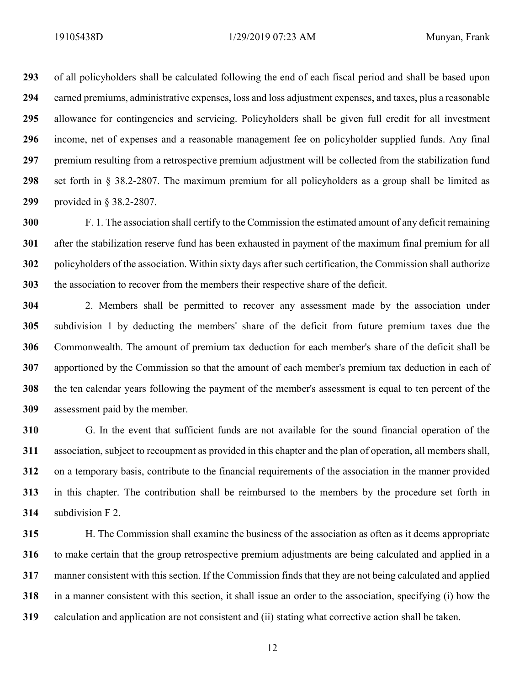of all policyholders shall be calculated following the end of each fiscal period and shall be based upon earned premiums, administrative expenses, loss and loss adjustment expenses, and taxes, plus a reasonable allowance for contingencies and servicing. Policyholders shall be given full credit for all investment income, net of expenses and a reasonable management fee on policyholder supplied funds. Any final 297 premium resulting from a retrospective premium adjustment will be collected from the stabilization fund set forth in § 38.2-2807. The maximum premium for all policyholders as a group shall be limited as provided in § 38.2-2807.

F. 1. The association shall certify to the Commission the estimated amount of any deficit remaining after the stabilization reserve fund has been exhausted in payment of the maximum final premium for all policyholders of the association. Within sixty days after such certification, the Commission shall authorize the association to recover from the members their respective share of the deficit.

2. Members shall be permitted to recover any assessment made by the association under subdivision 1 by deducting the members' share of the deficit from future premium taxes due the Commonwealth. The amount of premium tax deduction for each member's share of the deficit shall be apportioned by the Commission so that the amount of each member's premium tax deduction in each of the ten calendar years following the payment of the member's assessment is equal to ten percent of the assessment paid by the member.

G. In the event that sufficient funds are not available for the sound financial operation of the association, subject to recoupment as provided in this chapter and the plan of operation, all members shall, on a temporary basis, contribute to the financial requirements of the association in the manner provided in this chapter. The contribution shall be reimbursed to the members by the procedure set forth in subdivision F 2.

H. The Commission shall examine the business of the association as often as it deems appropriate to make certain that the group retrospective premium adjustments are being calculated and applied in a manner consistent with this section. If the Commission finds that they are not being calculated and applied in a manner consistent with this section, it shall issue an order to the association, specifying (i) how the calculation and application are not consistent and (ii) stating what corrective action shall be taken.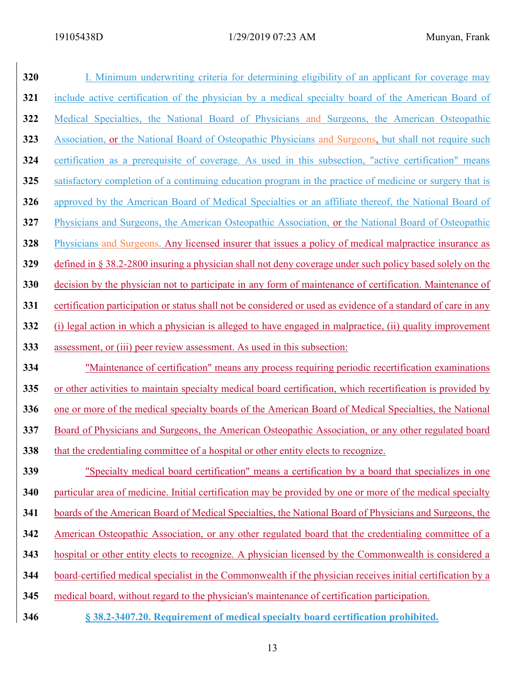| 320 | I. Minimum underwriting criteria for determining eligibility of an applicant for coverage may                  |
|-----|----------------------------------------------------------------------------------------------------------------|
| 321 | include active certification of the physician by a medical specialty board of the American Board of            |
| 322 | Medical Specialties, the National Board of Physicians and Surgeons, the American Osteopathic                   |
| 323 | Association, or the National Board of Osteopathic Physicians and Surgeons, but shall not require such          |
| 324 | certification as a prerequisite of coverage. As used in this subsection, "active certification" means          |
| 325 | satisfactory completion of a continuing education program in the practice of medicine or surgery that is       |
| 326 | approved by the American Board of Medical Specialties or an affiliate thereof, the National Board of           |
| 327 | Physicians and Surgeons, the American Osteopathic Association, or the National Board of Osteopathic            |
| 328 | Physicians and Surgeons. Any licensed insurer that issues a policy of medical malpractice insurance as         |
| 329 | defined in § 38.2-2800 insuring a physician shall not deny coverage under such policy based solely on the      |
| 330 | decision by the physician not to participate in any form of maintenance of certification. Maintenance of       |
| 331 | certification participation or status shall not be considered or used as evidence of a standard of care in any |
| 332 | (i) legal action in which a physician is alleged to have engaged in malpractice, (ii) quality improvement      |
| 333 | assessment, or (iii) peer review assessment. As used in this subsection:                                       |
| 334 | "Maintenance of certification" means any process requiring periodic recertification examinations               |
| 335 | or other activities to maintain specialty medical board certification, which recertification is provided by    |
| 336 | one or more of the medical specialty boards of the American Board of Medical Specialties, the National         |
| 337 | Board of Physicians and Surgeons, the American Osteopathic Association, or any other regulated board           |
| 338 | that the credentialing committee of a hospital or other entity elects to recognize.                            |
| 339 | "Specialty medical board certification" means a certification by a board that specializes in one               |
| 340 | particular area of medicine. Initial certification may be provided by one or more of the medical specialty     |
| 341 | boards of the American Board of Medical Specialties, the National Board of Physicians and Surgeons, the        |
| 342 | American Osteopathic Association, or any other regulated board that the credentialing committee of a           |
| 343 | hospital or other entity elects to recognize. A physician licensed by the Commonwealth is considered a         |
| 344 | board-certified medical specialist in the Commonwealth if the physician receives initial certification by a    |
| 345 | medical board, without regard to the physician's maintenance of certification participation.                   |
| 346 | § 38.2-3407.20. Requirement of medical specialty board certification prohibited.                               |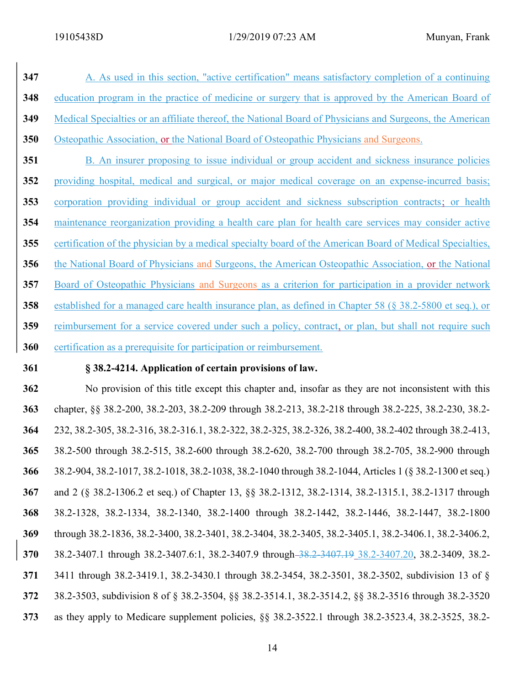347 A. As used in this section, "active certification" means satisfactory completion of a continuing education program in the practice of medicine or surgery that is approved by the American Board of Medical Specialties or an affiliate thereof, the National Board of Physicians and Surgeons, the American Osteopathic Association, or the National Board of Osteopathic Physicians and Surgeons. 351 B. An insurer proposing to issue individual or group accident and sickness insurance policies providing hospital, medical and surgical, or major medical coverage on an expense-incurred basis; corporation providing individual or group accident and sickness subscription contracts; or health maintenance reorganization providing a health care plan for health care services may consider active 355 certification of the physician by a medical specialty board of the American Board of Medical Specialties, the National Board of Physicians and Surgeons, the American Osteopathic Association, or the National Board of Osteopathic Physicians and Surgeons as a criterion for participation in a provider network established for a managed care health insurance plan, as defined in Chapter 58 (§ 38.2-5800 et seq.), or 359 reimbursement for a service covered under such a policy, contract, or plan, but shall not require such 360 certification as a prerequisite for participation or reimbursement.

## 361 § 38.2-4214. Application of certain provisions of law.

No provision of this title except this chapter and, insofar as they are not inconsistent with this chapter, §§ 38.2-200, 38.2-203, 38.2-209 through 38.2-213, 38.2-218 through 38.2-225, 38.2-230, 38.2- 232, 38.2-305, 38.2-316, 38.2-316.1, 38.2-322, 38.2-325, 38.2-326, 38.2-400, 38.2-402 through 38.2-413, 38.2-500 through 38.2-515, 38.2-600 through 38.2-620, 38.2-700 through 38.2-705, 38.2-900 through 38.2-904, 38.2-1017, 38.2-1018, 38.2-1038, 38.2-1040 through 38.2-1044, Articles 1 (§ 38.2-1300 et seq.) and 2 (§ 38.2-1306.2 et seq.) of Chapter 13, §§ 38.2-1312, 38.2-1314, 38.2-1315.1, 38.2-1317 through 38.2-1328, 38.2-1334, 38.2-1340, 38.2-1400 through 38.2-1442, 38.2-1446, 38.2-1447, 38.2-1800 through 38.2-1836, 38.2-3400, 38.2-3401, 38.2-3404, 38.2-3405, 38.2-3405.1, 38.2-3406.1, 38.2-3406.2, 370 38.2-3407.1 through 38.2-3407.6:1, 38.2-3407.9 through 38.2-3407.19 38.2-3407.20, 38.2-3409, 38.2-3411 through 38.2-3419.1, 38.2-3430.1 through 38.2-3454, 38.2-3501, 38.2-3502, subdivision 13 of § 38.2-3503, subdivision 8 of § 38.2-3504, §§ 38.2-3514.1, 38.2-3514.2, §§ 38.2-3516 through 38.2-3520 as they apply to Medicare supplement policies, §§ 38.2-3522.1 through 38.2-3523.4, 38.2-3525, 38.2-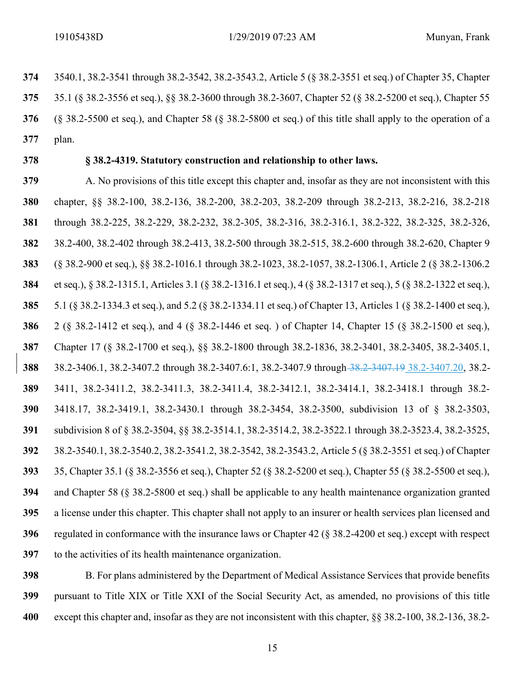3540.1, 38.2-3541 through 38.2-3542, 38.2-3543.2, Article 5 (§ 38.2-3551 et seq.) of Chapter 35, Chapter 35.1 (§ 38.2-3556 et seq.), §§ 38.2-3600 through 38.2-3607, Chapter 52 (§ 38.2-5200 et seq.), Chapter 55 (§ 38.2-5500 et seq.), and Chapter 58 (§ 38.2-5800 et seq.) of this title shall apply to the operation of a plan. 378 § 38.2-4319. Statutory construction and relationship to other laws. A. No provisions of this title except this chapter and, insofar as they are not inconsistent with this chapter, §§ 38.2-100, 38.2-136, 38.2-200, 38.2-203, 38.2-209 through 38.2-213, 38.2-216, 38.2-218 through 38.2-225, 38.2-229, 38.2-232, 38.2-305, 38.2-316, 38.2-316.1, 38.2-322, 38.2-325, 38.2-326, 38.2-400, 38.2-402 through 38.2-413, 38.2-500 through 38.2-515, 38.2-600 through 38.2-620, Chapter 9 (§ 38.2-900 et seq.), §§ 38.2-1016.1 through 38.2-1023, 38.2-1057, 38.2-1306.1, Article 2 (§ 38.2-1306.2 et seq.), § 38.2-1315.1, Articles 3.1 (§ 38.2-1316.1 et seq.), 4 (§ 38.2-1317 et seq.), 5 (§ 38.2-1322 et seq.), 5.1 (§ 38.2-1334.3 et seq.), and 5.2 (§ 38.2-1334.11 et seq.) of Chapter 13, Articles 1 (§ 38.2-1400 et seq.), 2 (§ 38.2-1412 et seq.), and 4 (§ 38.2-1446 et seq. ) of Chapter 14, Chapter 15 (§ 38.2-1500 et seq.), Chapter 17 (§ 38.2-1700 et seq.), §§ 38.2-1800 through 38.2-1836, 38.2-3401, 38.2-3405, 38.2-3405.1, 38.2-3406.1, 38.2-3407.2 through 38.2-3407.6:1, 38.2-3407.9 through 38.2-3407.19 38.2-3407.20, 38.2- 3411, 38.2-3411.2, 38.2-3411.3, 38.2-3411.4, 38.2-3412.1, 38.2-3414.1, 38.2-3418.1 through 38.2- 3418.17, 38.2-3419.1, 38.2-3430.1 through 38.2-3454, 38.2-3500, subdivision 13 of § 38.2-3503, subdivision 8 of § 38.2-3504, §§ 38.2-3514.1, 38.2-3514.2, 38.2-3522.1 through 38.2-3523.4, 38.2-3525, 38.2-3540.1, 38.2-3540.2, 38.2-3541.2, 38.2-3542, 38.2-3543.2, Article 5 (§ 38.2-3551 et seq.) of Chapter 35, Chapter 35.1 (§ 38.2-3556 et seq.), Chapter 52 (§ 38.2-5200 et seq.), Chapter 55 (§ 38.2-5500 et seq.), and Chapter 58 (§ 38.2-5800 et seq.) shall be applicable to any health maintenance organization granted

a license under this chapter. This chapter shall not apply to an insurer or health services plan licensed and regulated in conformance with the insurance laws or Chapter 42 (§ 38.2-4200 et seq.) except with respect to the activities of its health maintenance organization.

398 B. For plans administered by the Department of Medical Assistance Services that provide benefits pursuant to Title XIX or Title XXI of the Social Security Act, as amended, no provisions of this title except this chapter and, insofar as they are not inconsistent with this chapter, §§ 38.2-100, 38.2-136, 38.2-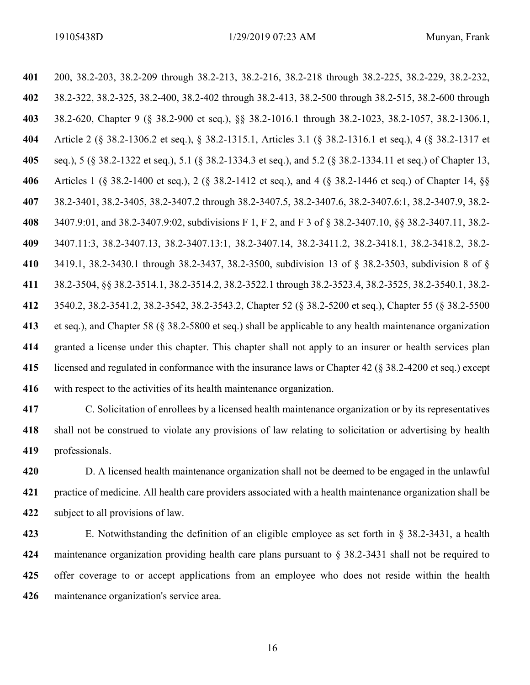200, 38.2-203, 38.2-209 through 38.2-213, 38.2-216, 38.2-218 through 38.2-225, 38.2-229, 38.2-232, 38.2-322, 38.2-325, 38.2-400, 38.2-402 through 38.2-413, 38.2-500 through 38.2-515, 38.2-600 through 38.2-620, Chapter 9 (§ 38.2-900 et seq.), §§ 38.2-1016.1 through 38.2-1023, 38.2-1057, 38.2-1306.1, Article 2 (§ 38.2-1306.2 et seq.), § 38.2-1315.1, Articles 3.1 (§ 38.2-1316.1 et seq.), 4 (§ 38.2-1317 et seq.), 5 (§ 38.2-1322 et seq.), 5.1 (§ 38.2-1334.3 et seq.), and 5.2 (§ 38.2-1334.11 et seq.) of Chapter 13, Articles 1 (§ 38.2-1400 et seq.), 2 (§ 38.2-1412 et seq.), and 4 (§ 38.2-1446 et seq.) of Chapter 14, §§ 38.2-3401, 38.2-3405, 38.2-3407.2 through 38.2-3407.5, 38.2-3407.6, 38.2-3407.6:1, 38.2-3407.9, 38.2- 3407.9:01, and 38.2-3407.9:02, subdivisions F 1, F 2, and F 3 of § 38.2-3407.10, §§ 38.2-3407.11, 38.2- 3407.11:3, 38.2-3407.13, 38.2-3407.13:1, 38.2-3407.14, 38.2-3411.2, 38.2-3418.1, 38.2-3418.2, 38.2- 3419.1, 38.2-3430.1 through 38.2-3437, 38.2-3500, subdivision 13 of § 38.2-3503, subdivision 8 of § 38.2-3504, §§ 38.2-3514.1, 38.2-3514.2, 38.2-3522.1 through 38.2-3523.4, 38.2-3525, 38.2-3540.1, 38.2- 3540.2, 38.2-3541.2, 38.2-3542, 38.2-3543.2, Chapter 52 (§ 38.2-5200 et seq.), Chapter 55 (§ 38.2-5500 et seq.), and Chapter 58 (§ 38.2-5800 et seq.) shall be applicable to any health maintenance organization granted a license under this chapter. This chapter shall not apply to an insurer or health services plan licensed and regulated in conformance with the insurance laws or Chapter 42 (§ 38.2-4200 et seq.) except with respect to the activities of its health maintenance organization.

C. Solicitation of enrollees by a licensed health maintenance organization or by its representatives shall not be construed to violate any provisions of law relating to solicitation or advertising by health professionals.

420 D. A licensed health maintenance organization shall not be deemed to be engaged in the unlawful practice of medicine. All health care providers associated with a health maintenance organization shall be subject to all provisions of law.

E. Notwithstanding the definition of an eligible employee as set forth in § 38.2-3431, a health maintenance organization providing health care plans pursuant to § 38.2-3431 shall not be required to 425 offer coverage to or accept applications from an employee who does not reside within the health maintenance organization's service area.